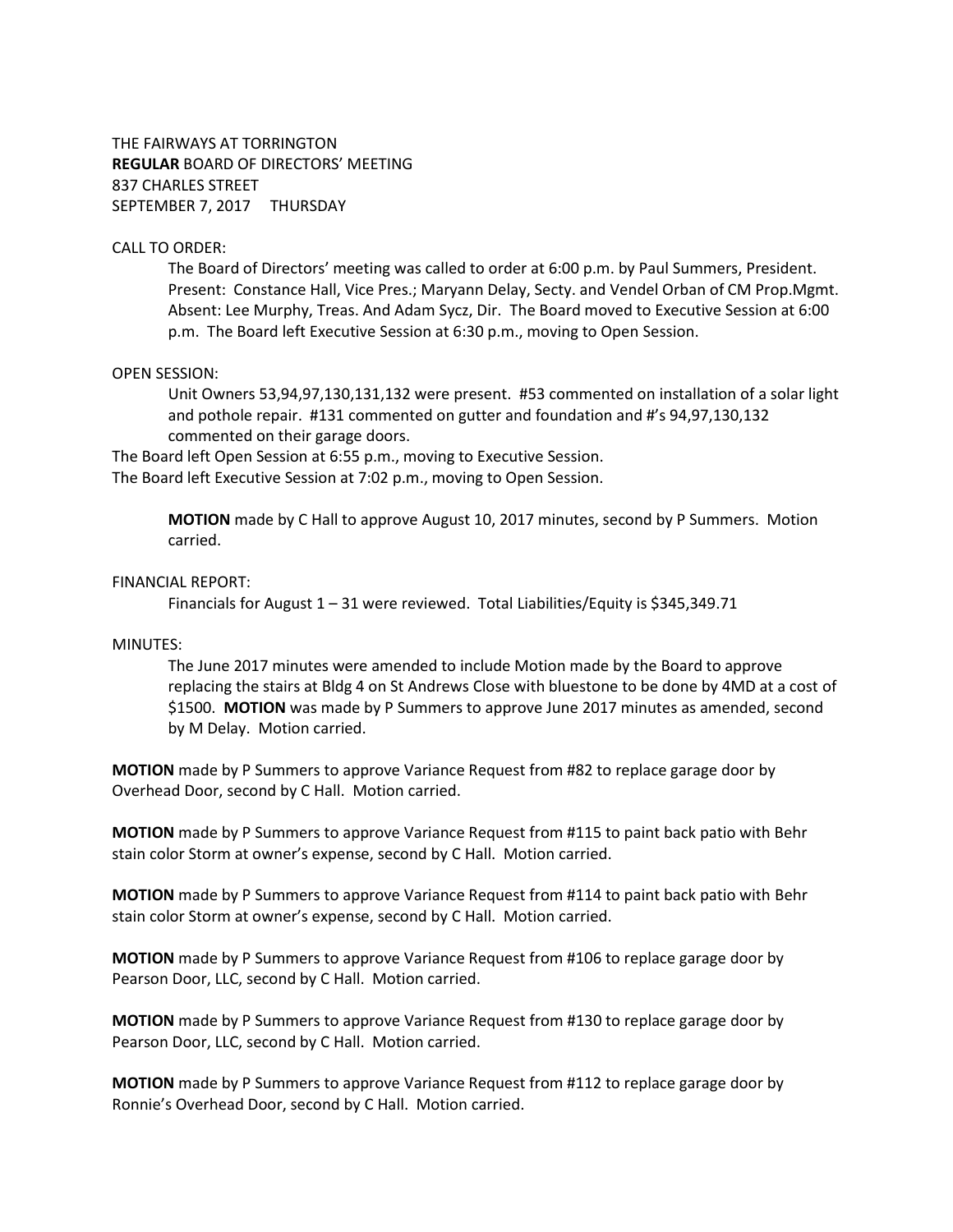THE FAIRWAYS AT TORRINGTON **REGULAR** BOARD OF DIRECTORS' MEETING 837 CHARLES STREET SEPTEMBER 7, 2017 THURSDAY

## CALL TO ORDER:

The Board of Directors' meeting was called to order at 6:00 p.m. by Paul Summers, President. Present: Constance Hall, Vice Pres.; Maryann Delay, Secty. and Vendel Orban of CM Prop.Mgmt. Absent: Lee Murphy, Treas. And Adam Sycz, Dir. The Board moved to Executive Session at 6:00 p.m. The Board left Executive Session at 6:30 p.m., moving to Open Session.

#### OPEN SESSION:

Unit Owners 53,94,97,130,131,132 were present. #53 commented on installation of a solar light and pothole repair. #131 commented on gutter and foundation and #'s 94,97,130,132 commented on their garage doors.

The Board left Open Session at 6:55 p.m., moving to Executive Session. The Board left Executive Session at 7:02 p.m., moving to Open Session.

> **MOTION** made by C Hall to approve August 10, 2017 minutes, second by P Summers. Motion carried.

## FINANCIAL REPORT:

Financials for August  $1 - 31$  were reviewed. Total Liabilities/Equity is \$345,349.71

#### MINUTES:

The June 2017 minutes were amended to include Motion made by the Board to approve replacing the stairs at Bldg 4 on St Andrews Close with bluestone to be done by 4MD at a cost of \$1500. **MOTION** was made by P Summers to approve June 2017 minutes as amended, second by M Delay. Motion carried.

**MOTION** made by P Summers to approve Variance Request from #82 to replace garage door by Overhead Door, second by C Hall. Motion carried.

**MOTION** made by P Summers to approve Variance Request from #115 to paint back patio with Behr stain color Storm at owner's expense, second by C Hall. Motion carried.

**MOTION** made by P Summers to approve Variance Request from #114 to paint back patio with Behr stain color Storm at owner's expense, second by C Hall. Motion carried.

**MOTION** made by P Summers to approve Variance Request from #106 to replace garage door by Pearson Door, LLC, second by C Hall. Motion carried.

**MOTION** made by P Summers to approve Variance Request from #130 to replace garage door by Pearson Door, LLC, second by C Hall. Motion carried.

**MOTION** made by P Summers to approve Variance Request from #112 to replace garage door by Ronnie's Overhead Door, second by C Hall. Motion carried.